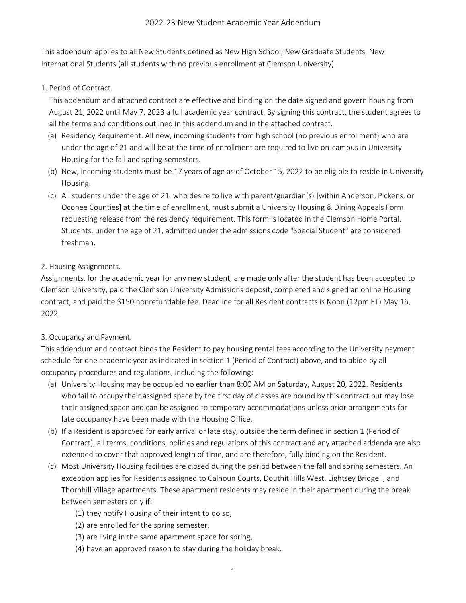This addendum applies to all New Students defined as New High School, New Graduate Students, New International Students (all students with no previous enrollment at Clemson University).

1. Period of Contract.

This addendum and attached contract are effective and binding on the date signed and govern housing from August 21, 2022 until May 7, 2023 a full academic year contract. By signing this contract, the student agrees to all the terms and conditions outlined in this addendum and in the attached contract.

- (a) Residency Requirement. All new, incoming students from high school (no previous enrollment) who are under the age of 21 and will be at the time of enrollment are required to live on-campus in University Housing for the fall and spring semesters.
- (b) New, incoming students must be 17 years of age as of October 15, 2022 to be eligible to reside in University Housing.
- (c) All students under the age of 21, who desire to live with parent/guardian(s) [within Anderson, Pickens, or Oconee Counties] at the time of enrollment, must submit a University Housing & Dining Appeals Form requesting release from the residency requirement. This form is located in the Clemson Home Portal. Students, under the age of 21, admitted under the admissions code "Special Student" are considered freshman.
- 2. Housing Assignments.

Assignments, for the academic year for any new student, are made only after the student has been accepted to Clemson University, paid the Clemson University Admissions deposit, completed and signed an online Housing contract, and paid the \$150 nonrefundable fee. Deadline for all Resident contracts is Noon (12pm ET) May 16, 2022.

## 3. Occupancy and Payment.

This addendum and contract binds the Resident to pay housing rental fees according to the University payment schedule for one academic year as indicated in section 1 (Period of Contract) above, and to abide by all occupancy procedures and regulations, including the following:

- (a) University Housing may be occupied no earlier than 8:00 AM on Saturday, August 20, 2022. Residents who fail to occupy their assigned space by the first day of classes are bound by this contract but may lose their assigned space and can be assigned to temporary accommodations unless prior arrangements for late occupancy have been made with the Housing Office.
- (b) If a Resident is approved for early arrival or late stay, outside the term defined in section 1 (Period of Contract), all terms, conditions, policies and regulations of this contract and any attached addenda are also extended to cover that approved length of time, and are therefore, fully binding on the Resident.
- (c) Most University Housing facilities are closed during the period between the fall and spring semesters. An exception applies for Residents assigned to Calhoun Courts, Douthit Hills West, Lightsey Bridge I, and Thornhill Village apartments. These apartment residents may reside in their apartment during the break between semesters only if:
	- (1) they notify Housing of their intent to do so,
	- (2) are enrolled for the spring semester,
	- (3) are living in the same apartment space for spring,
	- (4) have an approved reason to stay during the holiday break.